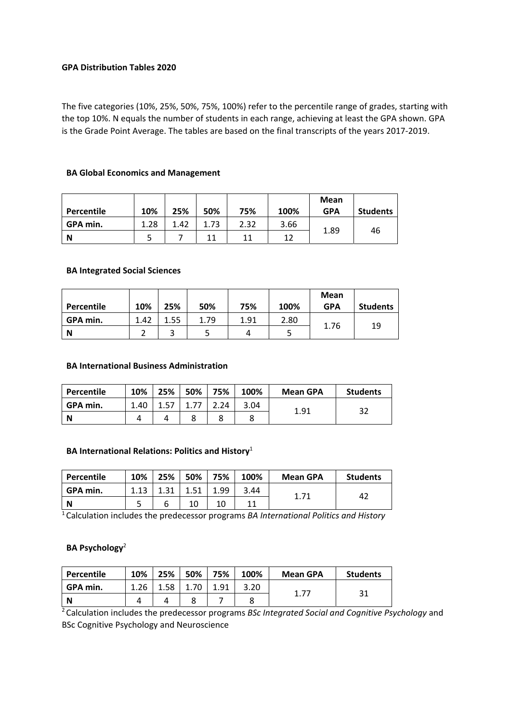#### **GPA Distribution Tables 2020**

The five categories (10%, 25%, 50%, 75%, 100%) refer to the percentile range of grades, starting with the top 10%. N equals the number of students in each range, achieving at least the GPA shown. GPA is the Grade Point Average. The tables are based on the final transcripts of the years 2017‐2019.

# **BA Global Economics and Management**

| Percentile | 10%  | 25%  | 50%  | 75%  | 100% | <b>Mean</b><br><b>GPA</b> | <b>Students</b> |
|------------|------|------|------|------|------|---------------------------|-----------------|
| GPA min.   | 1.28 | 1.42 | .73. | 2.32 | 3.66 | 1.89                      |                 |
| N          |      |      | 11   | 11   | 12   |                           | 46              |

#### **BA Integrated Social Sciences**

| Percentile | 10%  | 25%  | 50%  | 75%  | 100% | Mean<br><b>GPA</b> | <b>Students</b> |
|------------|------|------|------|------|------|--------------------|-----------------|
| GPA min.   | 1.42 | 1.55 | 1.79 | 1.91 | 2.80 | 1.76               | 19              |
| N          |      | 3    |      |      | ب    |                    |                 |

#### **BA International Business Administration**

| Percentile | 10%  | 25%  | 50% | 75%  | 100% | <b>Mean GPA</b> | <b>Students</b> |
|------------|------|------|-----|------|------|-----------------|-----------------|
| GPA min.   | 1.40 | 1.57 |     | ∠.24 | 3.04 |                 |                 |
| N          |      |      |     | 8    |      | 1.91            | 32              |

#### **BA International Relations: Politics and History**<sup>1</sup>

| Percentile | 10%  | 25%  | 50%  | 75%  | 100% | <b>Mean GPA</b> | <b>Students</b> |
|------------|------|------|------|------|------|-----------------|-----------------|
| GPA min.   | 1.13 | 1.31 | 1.51 | 1.99 | 3.44 |                 | 42              |
| N          |      | ь    | 10   |      |      | 1.71            |                 |

1 Calculation includes the predecessor programs *BA International Politics and History* 

#### **BA Psychology**<sup>2</sup>

| Percentile | 10%  | 25%  | 50% | 75%  | 100% | <b>Mean GPA</b> | <b>Students</b> |
|------------|------|------|-----|------|------|-----------------|-----------------|
| GPA min.   | 1.26 | ⊥.58 |     | 1.91 | 3.20 |                 |                 |
| N          |      |      |     |      |      | 1.77            | -31             |

2 Calculation includes the predecessor programs *BSc Integrated Social and Cognitive Psychology* and BSc Cognitive Psychology and Neuroscience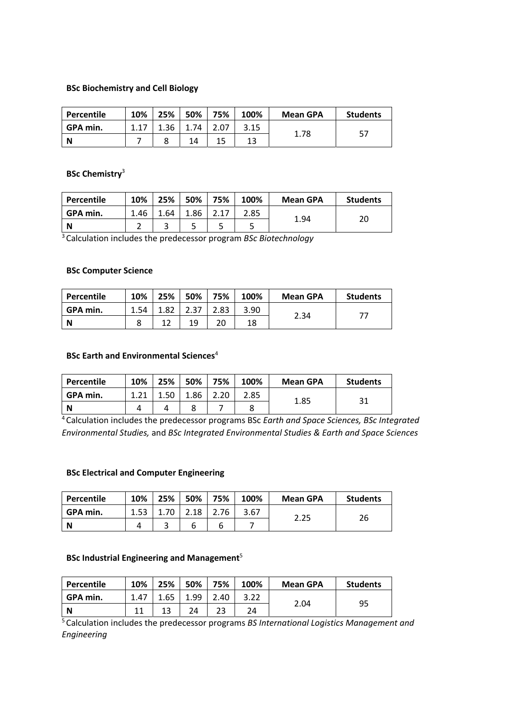#### **BSc Biochemistry and Cell Biology**

| Percentile | 10%  | 25%  | 50%  | 75% | 100% | <b>Mean GPA</b> | <b>Students</b> |
|------------|------|------|------|-----|------|-----------------|-----------------|
| GPA min.   | 1.17 | 1.36 | 1.74 |     | 3.15 | 1.78            | 57              |
| N          |      |      | 14   |     | 13   |                 |                 |

#### **BSc Chemistry**<sup>3</sup>

| Percentile | 10%  | 25%  | 50%  | 75% | 100% | <b>Mean GPA</b> | <b>Students</b> |
|------------|------|------|------|-----|------|-----------------|-----------------|
| GPA min.   | 1.46 | 1.64 | 1.86 |     | 2.85 |                 |                 |
| N          |      |      |      |     |      | 1.94            | 20              |

3 Calculation includes the predecessor program *BSc Biotechnology*

#### **BSc Computer Science**

| Percentile | 10%  | 25%  | 50% | 75%  | 100% | <b>Mean GPA</b> | <b>Students</b> |
|------------|------|------|-----|------|------|-----------------|-----------------|
| GPA min.   | 1.54 | 1.82 |     | د.83 | 3.90 |                 |                 |
| N          |      |      | 19  | 20   | 18   | 2.34            |                 |

### **BSc Earth and Environmental Sciences**<sup>4</sup>

| Percentile | 10%   | 25% | 50%  | 75% | 100% | <b>Mean GPA</b> | <b>Students</b> |
|------------|-------|-----|------|-----|------|-----------------|-----------------|
| GPA min.   | 1 7 1 |     | ⊥.86 |     | 2.85 | 1.85            |                 |
| N          |       |     |      |     |      |                 |                 |

4 Calculation includes the predecessor programs BSc *Earth and Space Sciences, BSc Integrated Environmental Studies,* and *BSc Integrated Environmental Studies & Earth and Space Sciences*

#### **BSc Electrical and Computer Engineering**

| Percentile | 10%  | 25% | 50%  | 75% | 100% | <b>Mean GPA</b> | <b>Students</b> |
|------------|------|-----|------|-----|------|-----------------|-----------------|
| GPA min.   | 1.53 |     | 2.18 | -76 | 3.67 |                 |                 |
| N          |      | ⌒   | ь    | ь   |      | 2.25            | 26              |

#### **BSc Industrial Engineering and Management**<sup>5</sup>

| Percentile | 10%  | 25%  | 50%  | 75%  | 100% | <b>Mean GPA</b> | <b>Students</b> |
|------------|------|------|------|------|------|-----------------|-----------------|
| GPA min.   | 1.47 | 1.65 | 1.99 | 2.40 | 3.22 | 2.04            |                 |
| N          | 11   |      | 24   | 23   | 24   |                 | 95              |

5 Calculation includes the predecessor programs *BS International Logistics Management and Engineering*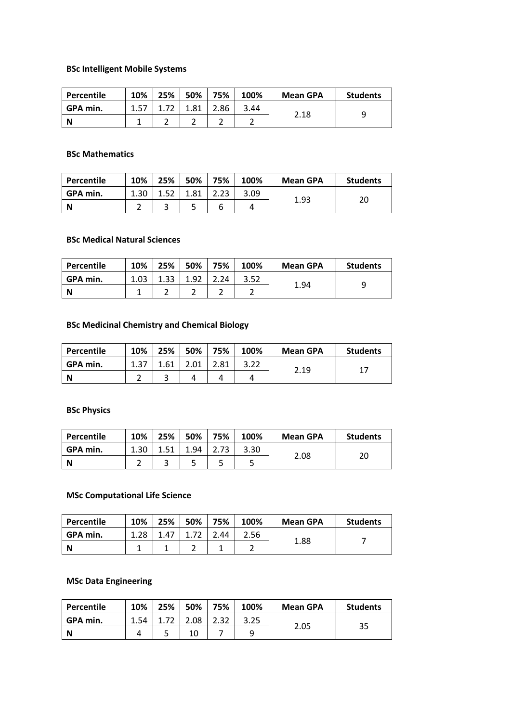# **BSc Intelligent Mobile Systems**

| Percentile | 10%  | 25% | 50% | 75%  | 100% | <b>Mean GPA</b> | <b>Students</b> |
|------------|------|-----|-----|------|------|-----------------|-----------------|
| GPA min.   | 1.57 |     | .81 | 2.86 | 3.44 |                 |                 |
| N          |      |     |     |      |      | 2.18            |                 |

#### **BSc Mathematics**

| Percentile | 10%  | 25%  | 50%  | 75%  | 100% | <b>Mean GPA</b> | <b>Students</b> |
|------------|------|------|------|------|------|-----------------|-----------------|
| GPA min.   | 1.30 | 1.52 | 1.81 | 2.23 | 3.09 | 1.93            | 20              |
| N          |      |      |      |      | 4    |                 |                 |

#### **BSc Medical Natural Sciences**

| Percentile | 10%  | 25% | 50% | 75% | 100% | <b>Mean GPA</b> | <b>Students</b> |
|------------|------|-----|-----|-----|------|-----------------|-----------------|
| GPA min.   | 1.03 | -22 | ാ   | .24 | 3.52 | 1.94            | Q               |
| N          |      |     |     | ∽   |      |                 |                 |

# **BSc Medicinal Chemistry and Chemical Biology**

| Percentile | 10%  | 25%  | 50%  | 75%  | 100% | <b>Mean GPA</b> | <b>Students</b> |
|------------|------|------|------|------|------|-----------------|-----------------|
| GPA min.   | 1.37 | 1.61 | 2.01 | 2.81 | 3.22 | 2.19            | 17              |
| N          |      |      |      |      | 4    |                 |                 |

# **BSc Physics**

| Percentile | 10%  | 25%  | 50%  | 75%  | 100% | <b>Mean GPA</b> | <b>Students</b> |
|------------|------|------|------|------|------|-----------------|-----------------|
| GPA min.   | 1.30 | 1.51 | 1.94 | 2.73 | 3.30 | 2.08            | 20              |
| <b>N</b>   |      |      |      |      |      |                 |                 |

# **MSc Computational Life Science**

| Percentile | 10%  | 25%  | 50% | 75% | 100% | <b>Mean GPA</b> | <b>Students</b> |
|------------|------|------|-----|-----|------|-----------------|-----------------|
| GPA min.   | 1.28 | 1.47 |     | .44 | 2.56 | 1.88            |                 |
| N          |      |      |     |     |      |                 |                 |

# **MSc Data Engineering**

| Percentile | 10%  | 25% | 50%  | 75%  | 100% | <b>Mean GPA</b> | <b>Students</b> |
|------------|------|-----|------|------|------|-----------------|-----------------|
| GPA min.   | 1.54 |     | 2.08 | 2.32 | 3.25 | 2.05            | 35              |
| N          |      |     | 10   |      |      |                 |                 |